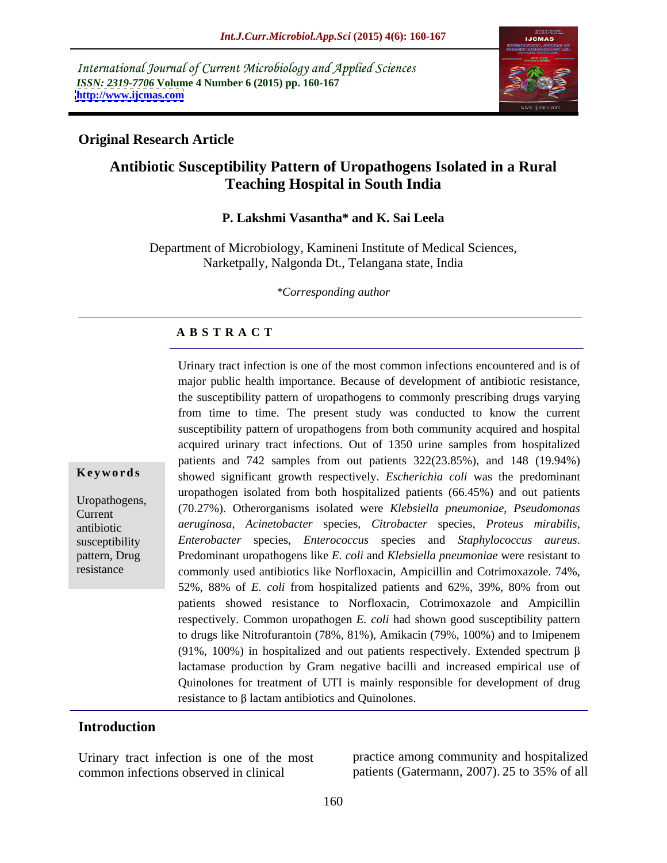International Journal of Current Microbiology and Applied Sciences *ISSN: 2319-7706* **Volume 4 Number 6 (2015) pp. 160-167 <http://www.ijcmas.com>**



# **Original Research Article**

# **Antibiotic Susceptibility Pattern of Uropathogens Isolated in a Rural Teaching Hospital in South India**

## **P. Lakshmi Vasantha\* and K. Sai Leela**

Department of Microbiology, Kamineni Institute of Medical Sciences, Narketpally, Nalgonda Dt., Telangana state, India

*\*Corresponding author*

# **A B S T R A C T**

Urinary tract infection is one of the most common infectionsencountered and is of major public health importance. Because of development of antibiotic resistance, the susceptibility pattern of uropathogens to commonly prescribing drugs varying from time to time. The present study was conducted to know the current susceptibility pattern of uropathogens from both community acquired and hospital acquired urinary tract infections. Out of 1350 urine samples from hospitalized patients and 742 samples from out patients 322(23.85%), and 148 (19.94%) showed significant growth respectively. *Escherichia coli* was the predominant uropathogen isolated from both hospitalized patients (66.45%) and out patients (70.27%). Otherorganisms isolated were *Klebsiella pneumoniae*, *Pseudomonas*  Uropathogens, *aeruginosa*, *Acinetobacter* species, *Citrobacter* species, *Proteus mirabilis*, antibiotic *Enterobacter* species, *Enterococcus* species and *Staphylococcus aureus*.<br>
Predominant uropathogens like *E. coli* and *Klebsiella pneumoniae* were resistant to commonly used antibiotics like Norfloxacin, Ampicillin and Cotrimoxazole. 74%, 52%, 88% of *E. coli* from hospitalized patients and 62%, 39%, 80% from out patients showed resistance to Norfloxacin, Cotrimoxazole and Ampicillin respectively. Common uropathogen *E. coli* had shown good susceptibility pattern to drugs like Nitrofurantoin (78%, 81%), Amikacin (79%, 100%) and to Imipenem (91%, 100%) in hospitalized and out patients respectively. Extended spectrum  $\beta$ lactamase production by Gram negative bacilli and increased empirical use of Quinolones for treatment of UTI is mainly responsible for development of drug **Keywords** showed significant growth respectively. *Escherichia coli* was the predominant uropathogens, (70.27%). Otherorganisms isolated tore *Klebsiella pneumoniae*, *Pseudomonas* schere *Kerenboscater* species, *Citroba* Current (10.2170). Otherorganisms isolated were Riebstein phelihonine, *r semionionus* susceptibility Enterobacter species, Enterococcus species and Staphylococcus aureus.

# **Introduction**

resistance

Urinary tract infection is one of the most practice among community and hospitalized common infections observed in clinical patients (Gatermann, 2007). 25 to 35% of all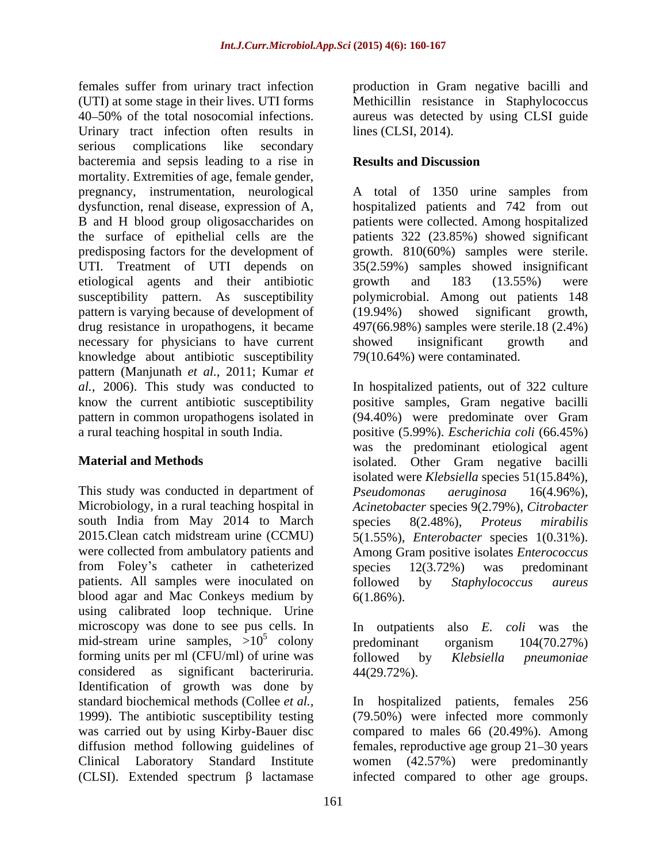females suffer from urinary tract infection production in Gram negative bacilli and (UTI) at some stage in their lives. UTI forms Methicillin resistance in Staphylococcus 40 50% of the total nosocomial infections. aureus was detected by using CLSI guide Urinary tract infection often results in serious complications like secondary bacteremia and sepsis leading to a rise in **Results and Discussion** mortality. Extremities of age, female gender, pregnancy, instrumentation, neurological A total of 1350 urine samples from dysfunction, renal disease, expression of A, hospitalized patients and 742 from out B and H blood group oligosaccharides on patients were collected. Among hospitalized the surface of epithelial cells are the patients 322 (23.85%) showed significant predisposing factors for the development of growth. 810(60%) samples were sterile. UTI. Treatment of UTI depends on 35(2.59%) samples showed insignificant etiological agents and their antibiotic susceptibility pattern. As susceptibility pattern is varying because of development of (19.94%) drug resistance in uropathogens, it became 497(66.98%) samples were sterile.18 (2.4%) necessary for physicians to have current showed insignificant growth and knowledge about antibiotic susceptibility pattern (Manjunath *et al.,* 2011; Kumar *et al.,* 2006). This study was conducted to In hospitalized patients, out of 322 culture know the current antibiotic susceptibility positive samples, Gram negative bacilli pattern in common uropathogens isolated in (94.40%) were predominate over Gram

This study was conducted in department of Pseudomonas aeruginosa 16(4.96%), south India from May 2014 to March species 8(2.48%), *Proteus mirabilis* from Foley's catheter in catheterized species 12(3.72%) was predominant patients. All samples were inoculated on followed by Staphylococcus aureus blood agar and Mac Conkeys medium by using calibrated loop technique. Urine microscopy was done to see pus cells. In In outpatients also E. coli was the mid-stream urine samples,  $>10^5$  colony predominant organism  $104(70.27%)$ forming units per ml (CFU/ml) of urine was followed by Klebsiella pneumoniae considered as significant bacteriruria. Identification of growth was done by standard biochemical methods (Collee *et al.,* In hospitalized patients, females 256 1999). The antibiotic susceptibility testing (79.50%) were infected more commonly was carried out by using Kirby-Bauer disc compared to males 66 (20.49%). Among diffusion method following guidelines of females, reproductive age group 21–30 years Clinical Laboratory Standard Institute women (42.57%) were predominantly (CLSI). Extended spectrum  $\beta$  lactamase

lines (CLSI, 2014).

# **Results and Discussion**

growth and 183 (13.55%) were polymicrobial. Among out patients 148 showed significant growth, showed insignificant growth and 79(10.64%) were contaminated.

a rural teaching hospital in south India. positive (5.99%). *Escherichia coli* (66.45%) **Material and Methods** isolated. Other Gram negative bacilli Microbiology, in a rural teaching hospital in *Acinetobacter* species 9(2.79%), *Citrobacter* 2015.Clean catch midstream urine (CCMU) 5(1.55%), *Enterobacter* species 1(0.31%). were collected from ambulatory patients and Among Gram positive isolates *Enterococcus* (94.40%) were predominate over Gram was the predominant etiological agent isolated were *Klebsiella* species 51(15.84%), *Pseudomonas aeruginosa* 16(4.96%), species 8(2.48%), *Proteus mirabilis* species 12(3.72%) was predominant followed by *Staphylococcus aureus*  $6(1.86\%)$ .

 $5$  colony and  $\sin t$  consider  $104(70.279)$ colony predominant organism  $104(70.27%)$ In outpatients also *E. coli* was the predominant organism 104(70.27%) followed by *Klebsiella pneumoniae* 44(29.72%).

infected compared to other age groups.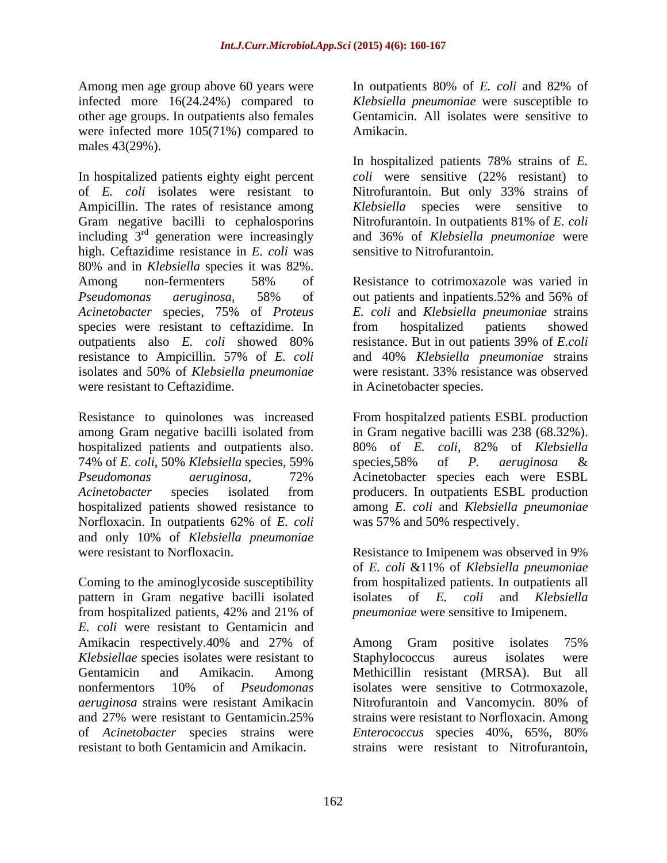Among men age group above 60 years were **In** outpatients 80% of *E. coli* and 82% of infected more 16(24.24%) compared to other age groups. In outpatients also females were infected more 105(71%) compared to Amikacin. males 43(29%).

In hospitalized patients eighty eight percent coli were sensitive (22% resistant) to of *E. coli* isolates were resistant to Ampicillin. The rates of resistance among Klebsiella species were sensitive to Gram negative bacilli to cephalosporins Nitrofurantoin. In outpatients 81% of *E. coli* including 3 rd generation were increasingly and 36% of *Klebsiella pneumoniae* were high. Ceftazidime resistance in *E. coli* was 80% and in *Klebsiella* species it was 82%.<br>Among non-fermenters 58% of Resistance to cotrimoxazole was varied in *Pseudomonas aeruginosa*, 58% of *Acinetobacter* species, 75% of *Proteus*  species were resistant to ceftazidime. In from hospitalized patients showed outpatients also *E. coli* showed 80% resistance. But in out patients 39% of *E.coli* resistance to Ampicillin. 57% of *E. coli* and 40% *Klebsiella pneumoniae* strains isolates and 50% of *Klebsiella pneumoniae* were resistant to Ceftazidime.

hospitalized patients and outpatients also. 80% of E. coli, 82% of Klebsiella 74% of *E. coli*, 50% *Klebsiella* species, 59% hospitalized patients showed resistance to Norfloxacin. In outpatients 62% of *E. coli* and only 10% of *Klebsiella pneumoniae* were resistant to Norfloxacin. Resistance to Imipenem was observed in 9%

Coming to the aminoglycoside susceptibility from hospitalized patients. In outpatients all pattern in Gram negative bacilli isolated isolates of E. coli and Klebsiella from hospitalized patients, 42% and 21% of *pneumoniae* were sensitive to Imipenem. *E. coli* were resistant to Gentamicin and Amikacin respectively.40% and 27% of Among Gram positive isolates 75% *Klebsiellae* species isolates were resistant to *aeruginosa* strains were resistant Amikacin and 27% were resistant to Gentamicin.25% resistant to both Gentamicin and Amikacin. strains were resistant to Nitrofurantoin,

In outpatients 80% of *E. coli* and 82% of *Klebsiella pneumoniae* were susceptible to Gentamicin. All isolates were sensitive to Amikacin.

In hospitalized patients 78% strains of *E. coli* were sensitive (22% resistant) to Nitrofurantoin. But only 33% strains of *Klebsiella* species were sensitive to sensitive to Nitrofurantoin.

Resistance to cotrimoxazole was varied in out patients and inpatients.52% and 56% of *E. coli* and *Klebsiella pneumoniae* strains from hospitalized patients showed were resistant. 33% resistance was observed in Acinetobacter species.

Resistance to quinolones was increased From hospitalzed patients ESBL production among Gram negative bacilli isolated from in Gram negative bacilli was 238 (68.32%). *Pseudomonas aeruginosa*, 72% Acinetobacter species isolated from producers. In outpatients ESBL production 80% of *E. coli*, 82% of *Klebsiella*  species,58% of *P. aeruginosa* & Acinetobacter species each were ESBL among *E. coli* and *Klebsiella pneumoniae* was 57% and 50% respectively.

> Resistance to Imipenem was observed in 9% of *E. coli* &11% of *Klebsiella pneumoniae* isolates of *E. coli* and *Klebsiella pneumoniae* were sensitive to Imipenem.

Gentamicin and Amikacin. Among Methicillin resistant (MRSA). But all nonfermentors 10% of *Pseudomonas*  of *Acinetobacter* species strains were *Enterococcus* species 40%, 65%, 80% Among Gram positive isolates 75% Staphylococcus aureus isolates were isolates were sensitive to Cotrmoxazole, Nitrofurantoin and Vancomycin. 80% of strains were resistant to Norfloxacin. Among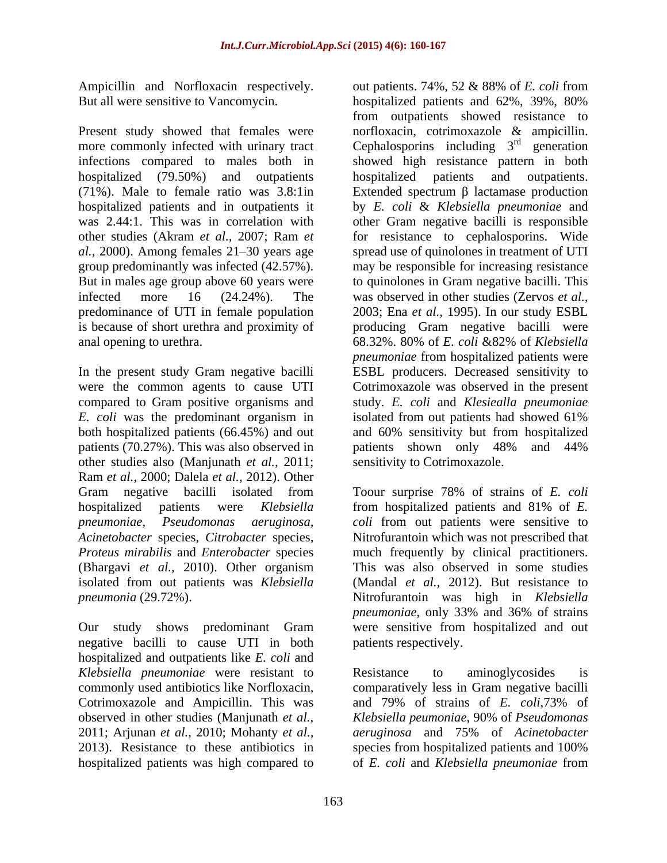Present study showed that females were norfloxacin, cotrimoxazole & ampicillin. more commonly infected with urinary tract Cephalosporins including  $3<sup>rd</sup>$  generation hospitalized (79.50%) and outpatients hospitalized patients and outpatients. group predominantly was infected (42.57%). anal opening to urethra. 68.32%. 80% of E. coli & 82% of Klebsiella

*E. coli* was the predominant organism in isolated from out patients had showed 61% both hospitalized patients (66.45%) and out and 60% sensitivity but from hospitalized patients (70.27%). This was also observed in patients shown only 48% and 44% other studies also (Manjunath *et al.,* 2011; Ram *et al.,* 2000; Dalela *et al.,* 2012). Other (Bhargavi *et al.,* 2010). Other organism isolated from out patients was *Klebsiella* 

negative bacilli to cause UTI in both hospitalized and outpatients like *E. coli* and *Klebsiella pneumoniae* were resistant to **Resistance** to aminoglycosides is Cotrimoxazole and Ampicillin. This was and 79% of strains of E. coli, 73% of observed in other studies (Manjunath *et al.,* 2011; Arjunan *et al.,* 2010; Mohanty *et al.,* hospitalized patients was high compared to of *E. coli* and *Klebsiella pneumoniae* from

Ampicillin and Norfloxacin respectively. out patients. 74%, 52 & 88% of *E. coli* from But all were sensitive to Vancomycin. hospitalized patients and 62%, 39%, 80% infections compared to males both in showed high resistance pattern in both (71%). Male to female ratio was 3.8:1in Extended spectrum  $\beta$  lactamase production hospitalized patients and in outpatients it by *E. coli* & *Klebsiella pneumoniae* and was 2.44:1. This was in correlation with other Gram negative bacilli is responsible other studies (Akram *et al.,* 2007; Ram *et*  for resistance to cephalosporins. Wide al., 2000). Among females 21–30 years age spread use of quinolones in treatment of UTI But in males age group above 60 years were to quinolones in Gram negative bacilli. This infected more 16 (24.24%). The was observed in other studies (Zervos *et al.,* predominance of UTI in female population 2003; Ena *et al.,* 1995). In our study ESBL is because of short urethra and proximity of producing Gram negative bacilli were In the present study Gram negative bacilli ESBL producers. Decreased sensitivity to were the common agents to cause UTI Cotrimoxazole was observed in the present compared to Gram positive organisms and study. *E. coli* and *Klesiealla pneumoniae* both hospitalized patients (66.45%) and out and 60% sensitivity but from hospitalized from outpatients showed resistance to norfloxacin, cotrimoxazole & ampicillin.<br>Cephalosporins including 3<sup>rd</sup> generation  $r d$  conoration generation hospitalized patients and may be responsible for increasing resistance 68.32%. 80% of *E. coli* &82% of *Klebsiella pneumoniae* from hospitalized patients were isolated from out patients had showed 61% patients shown only 48% and 44% sensitivity to Cotrimoxazole.

Gram negative bacilli isolated from Toour surprise 78% of strains of *E. coli* hospitalized patients were *Klebsiella*  from hospitalized patients and 81% of *E. pneumoniae*, *Pseudomonas aeruginosa, coli* from out patients were sensitive to *Acinetobacter* species*, Citrobacter* species*,* Nitrofurantoin which was not prescribed that *Proteus mirabilis* and *Enterobacter* species much frequently by clinical practitioners. *pneumonia* (29.72%). Nitrofurantoin was high in *Klebsiella*  Our study shows predominant Gram were sensitive from hospitalized and out This was also observed in some studies (Mandal *et al.,* 2012). But resistance to *pneumoniae*, only 33% and 36% of strains patients respectively.

commonly used antibiotics like Norfloxacin, comparatively less in Gram negative bacilli 2013). Resistance to these antibiotics in species from hospitalized patients and 100% Resistance to aminoglycosides is and 79% of strains of *E. coli*,73% of *Klebsiella peumoniae*, 90% of *Pseudomonas aeruginosa* and 75% of *Acinetobacter*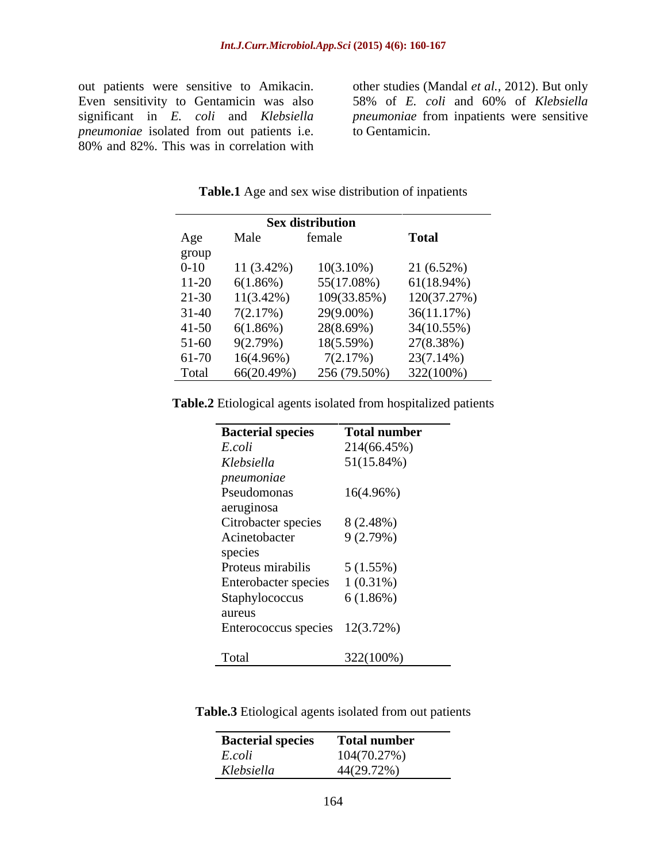Even sensitivity to Gentamicin was also 58% of *E. coli* and 60% of *Klebsiella*  significant in *E. coli* and *Klebsiella pneumoniae* from inpatients were sensitive *pneumoniae* isolated from out patients i.e. 80% and 82%. This was in correlation with

out patients were sensitive to Amikacin. other studies (Mandal *et al.*, 2012). But only to Gentamicin.

|           |              | <b>Sex distribution</b> |               |
|-----------|--------------|-------------------------|---------------|
| Age       | Male         | female                  | <b>Total</b>  |
| group     |              |                         |               |
| $0 - 10$  | $11(3.42\%)$ | $10(3.10\%)$            | 21(6.52%)     |
| $11-20$   | 6(1.86%)     | 55(17.08%)              | $61(18.94\%)$ |
| $21-30$   | $11(3.42\%)$ | 109(33.85%)             | 120(37.27%)   |
| $31 - 40$ | 7(2.17%)     | 29(9.00%)               | 36(11.17%)    |
| $41 - 50$ | 6(1.86%)     | 28(8.69%)               | 34(10.55%)    |
| $51-60$   | 9(2.79%)     | 18(5.59%)               | 27(8.38%)     |
| 61-70     | $16(4.96\%)$ | 7(2.17%)                | 23(7.14%)     |
| Total     | 66(20.49%)   | 256 (79.50%)            | $322(100\%)$  |

**Table.1** Age and sex wise distribution of inpatients

| Table.2 Etio.<br>Etiological agents isolated from hospitalized patients |  |  |
|-------------------------------------------------------------------------|--|--|
|                                                                         |  |  |

| <b>Bacterial species</b>         | <b>Total number</b> |
|----------------------------------|---------------------|
| E.coli                           | 214(66.45%)         |
| Klebsiella                       | 51(15.84%)          |
| pneumoniae                       |                     |
| Pseudomonas                      | $16(4.96\%)$        |
| aeruginosa                       |                     |
| Citrobacter species              | 8(2.48%)            |
| Acinetobacter                    | 9(2.79%)            |
| species                          |                     |
| Proteus mirabilis                | 5(1.55%)            |
| Enterobacter species             | $1(0.31\%)$         |
| Staphylococcus                   | 6(1.86%)            |
| aureus                           |                     |
| Enterococcus species $12(3.72%)$ |                     |
|                                  |                     |
| Total                            | 322(100%)           |

| Table.3 Etiold<br>agents isolated<br>t from out patients<br>e ivul u |  |  |  |
|----------------------------------------------------------------------|--|--|--|
|                                                                      |  |  |  |

| <b>Bacterial species</b> | <b>Total number</b> |
|--------------------------|---------------------|
| $E. coli$                | 104(70.27%)         |
| Klebsiella               | 44(29.72%)          |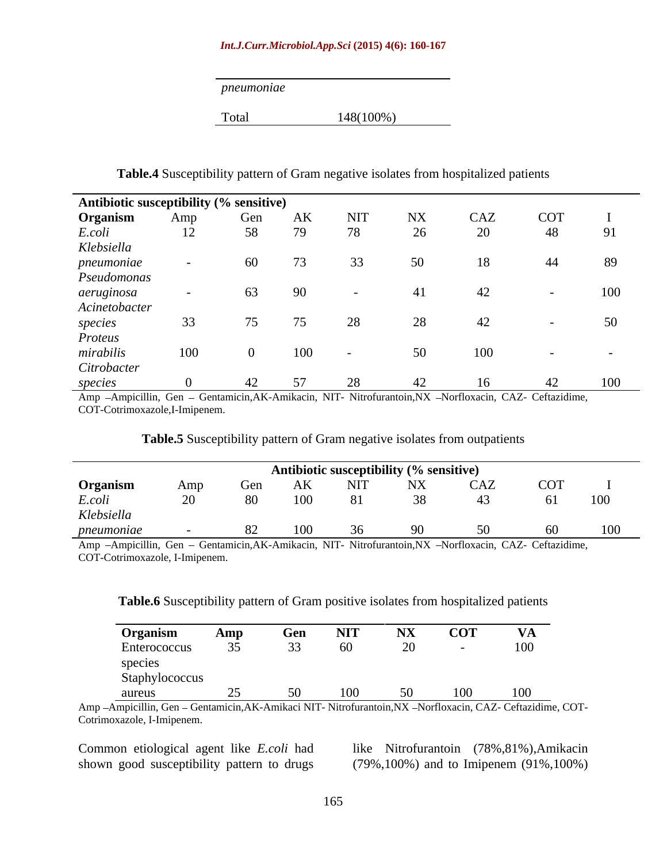### *Int.J.Curr.Microbiol.App.Sci* **(2015) 4(6): 160-167**

## **Table.4** Susceptibility pattern of Gram negative isolates from hospitalized patients

| Antibiotic susceptibility (% sensitive)<br>Organism Amp Gen<br>E.coli 12 58 7<br>Klebsiella<br>pneumoniae - 60 7<br>Pseudomonas<br>aeruginosa - 63 9<br>Acinetobacter |  |     |    |    |     |            |     |
|-----------------------------------------------------------------------------------------------------------------------------------------------------------------------|--|-----|----|----|-----|------------|-----|
|                                                                                                                                                                       |  | AK  |    |    | CAZ | <b>COT</b> |     |
|                                                                                                                                                                       |  |     | 78 |    | 20  | 48         |     |
|                                                                                                                                                                       |  |     |    |    |     |            |     |
|                                                                                                                                                                       |  |     |    | 50 |     | 44         | 89  |
|                                                                                                                                                                       |  |     |    |    |     |            |     |
|                                                                                                                                                                       |  |     |    |    |     |            | 100 |
|                                                                                                                                                                       |  |     |    |    |     |            |     |
|                                                                                                                                                                       |  |     |    |    |     |            | 50  |
|                                                                                                                                                                       |  |     |    |    |     |            |     |
| species<br>Proteus<br>mirabilis<br>Citrobacter                                                                                                                        |  | 100 |    |    |     |            |     |
|                                                                                                                                                                       |  |     |    |    |     |            |     |
| species                                                                                                                                                               |  |     |    |    |     |            | 100 |

Amp -Ampicillin, Gen - Gentamicin,AK-Amikacin, NIT- Nitrofurantoin,NX -Norfloxacin, CAZ- Ceftazidime, COT-Cotrimoxazole,I-Imipenem.

|                                                                                                             |     |      |           | Antibiotic susceptibility (% sensitive) |                     |        |  |
|-------------------------------------------------------------------------------------------------------------|-----|------|-----------|-----------------------------------------|---------------------|--------|--|
| Organism                                                                                                    | Amp | Gen  |           |                                         | AK NIT NX CAZ COT ' |        |  |
| E.coli                                                                                                      |     | -80- | $100 -$   |                                         |                     | 61 100 |  |
| Klebsiella                                                                                                  |     |      |           |                                         |                     |        |  |
| pneumoniae                                                                                                  |     |      | 82 100 36 |                                         |                     | 60     |  |
| Appendent March 111 (Compared Contenting AV Application MT Mitroformation MV Montflorence CAZ Coffeed three |     |      |           |                                         |                     |        |  |

## **Table.5** Susceptibility pattern of Gram negative isolates from outpatients

Amp -Ampicillin, Gen - Gentamicin,AK-Amikacin, NIT- Nitrofurantoin,NX -Norfloxacin, CAZ- Ceftazidime, COT-Cotrimoxazole, I-Imipenem.

## **Table.6** Susceptibility pattern of Gram positive isolates from hospitalized patients

| Organism<br>Amp<br>Gen                                        | <b>NIT</b> | <b>NX</b> | <b>COT</b> | <b>TTA</b><br>$V\mathbf{A}$ |
|---------------------------------------------------------------|------------|-----------|------------|-----------------------------|
| $\Omega$<br>$\overline{a}$<br>Enterococcus<br>35 <sub>1</sub> | 60         | 20        |            | $\overline{100}$            |
| species                                                       |            |           |            |                             |
| Staphylococcus                                                |            |           |            |                             |
| aureus                                                        | 100        |           | 100        | 100                         |

Amp - Ampicillin, Gen - Gentamicin,AK-Amikaci NIT- Nitrofurantoin,NX - Norfloxacin, CAZ- Ceftazidime, COT-Cotrimoxazole, I-Imipenem.

Common etiological agent like *E.coli* had shown good susceptibility pattern to drugs (79%,100%) and to Imipenem (91%,100%)

like Nitrofurantoin (78%,81%),Amikacin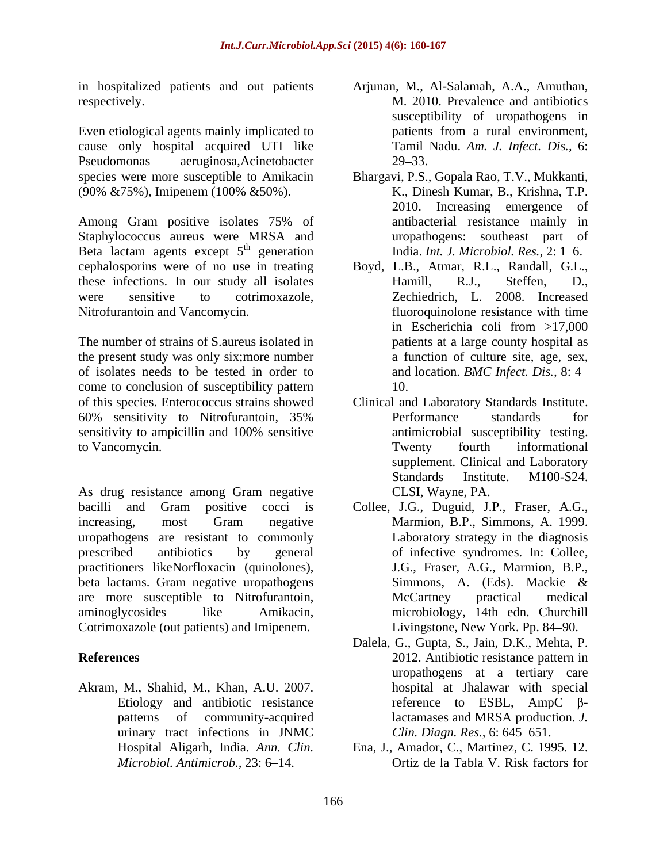in hospitalized patients and out patients

Even etiological agents mainly implicated to be patients from a rural environment, cause only hospital acquired UTI like Pseudomonas aeruginosa,Acinetobacter (90% &75%), Imipenem (100% &50%).

Among Gram positive isolates 75% of Staphylococcus aureus were MRSA and Beta lactam agents except  $5<sup>th</sup>$  generation cephalosporins were of no use in treating Boyd, L.B., Atmar, R.L., Randall, G.L., these infections. In our study all isolates Hamill, R.J., Steffen, D., these infections. In our study all isolates Hamill, R.J., Steffen, D., were sensitive to cotrimoxazole, Zechiedrich, L. 2008. Increased Nitrofurantoin and Vancomycin. fluoroquinolone resistance with time

The number of strains of S.aureus isolated in the present study was only six;more number of isolates needs to be tested in order to come to conclusion of susceptibility pattern of this species. Enterococcus strains showed Clinical and Laboratory Standards Institute. 60% sensitivity to Nitrofurantoin, 35% sensitivity to ampicillin and 100% sensitive antimicrobial susceptibility testing. to Vancomycin. Twenty fourth informational

As drug resistance among Gram negative bacilli and Gram positive cocci is Collee, J.G., Duguid, J.P., Fraser, A.G., Marmion, B.P., Simmons, A. 1999. increasing, most Gram negative Marmion, B.P., Simmons, A. 1999. uropathogens are resistant to commonly prescribed antibiotics by general of infective syndromes. In: Collee, practitioners likeNorfloxacin (quinolones), J.G., Fraser, A.G., Marmion, B.P., beta lactams. Gram negative uropathogens Simmons, A. (Eds). Mackie & are more susceptible to Nitrofurantoin, aminoglycosides like Amikacin, microbiology, 14th edn. Churchill Cotrimoxazole (out patients) and Imipenem.

Akram, M., Shahid, M., Khan, A.U. 2007. urinary tract infections in JNMC

- respectively. M. 2010. Prevalence and antibiotics Arjunan, M., Al-Salamah, A.A., Amuthan, susceptibility of uropathogens in patients from a rural environment, Tamil Nadu. *Am. J. Infect. Dis.,* 6:  $29 - 33$ .
- species were more susceptible to Amikacin Bhargavi, P.S., Gopala Rao, T.V., Mukkanti, <sup>th</sup> generation India. *Int. J. Microbiol. Res.*, 2: 1–6. K., Dinesh Kumar, B., Krishna, T.P. 2010. Increasing emergence of antibacterial resistance mainly in uropathogens: southeast part of
	- in Escherichia coli from >17,000 patients at a large county hospital as a function of culture site, age, sex, and location. *BMC Infect. Dis.,* 8: 4 10.
	- Performance standards for antimicrobial susceptibility testing. Twenty fourth informational supplement. Clinical and Laboratory Standards Institute. M100-S24. CLSI, Wayne, PA.
	- Laboratory strategy in the diagnosis J.G., Fraser, A.G., Marmion, B.P., Simmons, A. (Eds). Mackie & McCartney practical medical Livingstone, New York. Pp. 84–90.
- **References** 2012. Antibiotic resistance pattern in Etiology and antibiotic resistance  $\qquad \qquad$  reference to ESBL, AmpC  $\beta$ patterns of community-acquired lactamases and MRSA production. *J.*  Dalela, G., Gupta, S., Jain, D.K., Mehta, P. 2012. Antibiotic resistance pattern in uropathogens at a tertiary care hospital at Jhalawar with special *Clin. Diagn. Res., 6: 645-651.* 
	- Hospital Aligarh, India. *Ann. Clin.* Ena, J., Amador, C., Martinez, C. 1995. 12. *Microbiol. Antimicrob.,* 23: 6 14. Ortiz de la Tabla V. Risk factors for